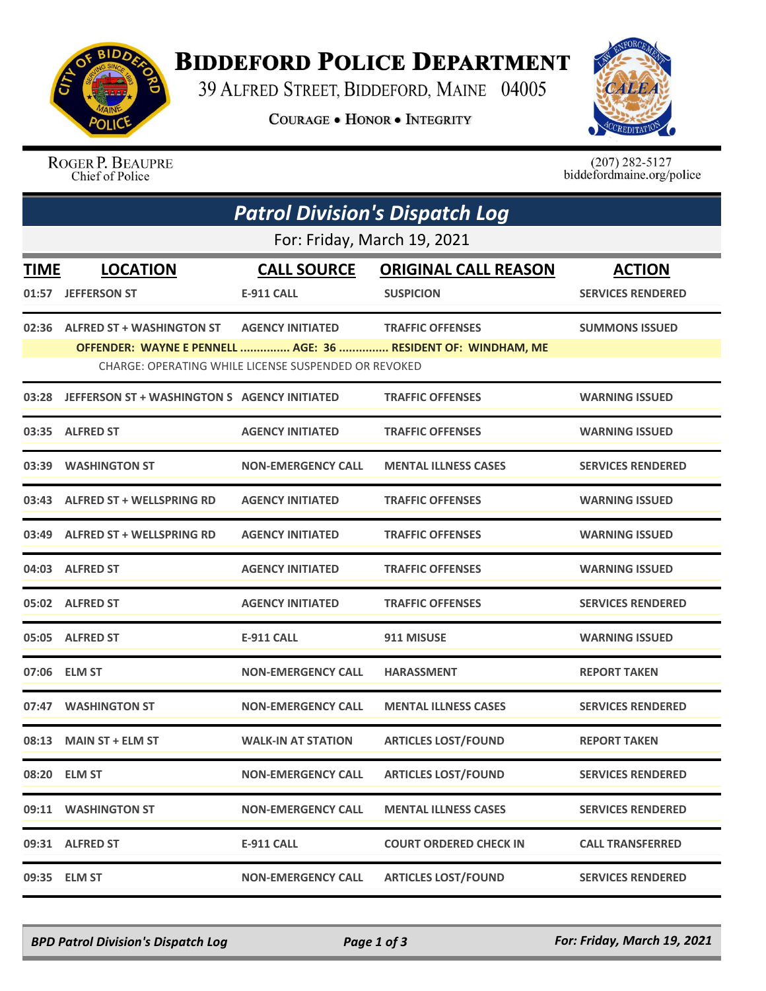

## **BIDDEFORD POLICE DEPARTMENT**

39 ALFRED STREET, BIDDEFORD, MAINE 04005

**COURAGE . HONOR . INTEGRITY** 



ROGER P. BEAUPRE Chief of Police

 $(207)$  282-5127<br>biddefordmaine.org/police

|                             | <b>Patrol Division's Dispatch Log</b>                |                           |                                                              |                          |  |  |  |  |
|-----------------------------|------------------------------------------------------|---------------------------|--------------------------------------------------------------|--------------------------|--|--|--|--|
| For: Friday, March 19, 2021 |                                                      |                           |                                                              |                          |  |  |  |  |
| <b>TIME</b>                 | <b>LOCATION</b>                                      | <b>CALL SOURCE</b>        | <b>ORIGINAL CALL REASON</b>                                  | <b>ACTION</b>            |  |  |  |  |
|                             | 01:57 JEFFERSON ST                                   | E-911 CALL                | <b>SUSPICION</b>                                             | <b>SERVICES RENDERED</b> |  |  |  |  |
|                             | 02:36 ALFRED ST + WASHINGTON ST                      | <b>AGENCY INITIATED</b>   | <b>TRAFFIC OFFENSES</b>                                      | <b>SUMMONS ISSUED</b>    |  |  |  |  |
|                             | CHARGE: OPERATING WHILE LICENSE SUSPENDED OR REVOKED |                           | OFFENDER: WAYNE E PENNELL  AGE: 36  RESIDENT OF: WINDHAM, ME |                          |  |  |  |  |
| 03:28                       | JEFFERSON ST + WASHINGTON S AGENCY INITIATED         |                           | <b>TRAFFIC OFFENSES</b>                                      | <b>WARNING ISSUED</b>    |  |  |  |  |
|                             | 03:35 ALFRED ST                                      | <b>AGENCY INITIATED</b>   | <b>TRAFFIC OFFENSES</b>                                      | <b>WARNING ISSUED</b>    |  |  |  |  |
| 03:39                       | <b>WASHINGTON ST</b>                                 | <b>NON-EMERGENCY CALL</b> | <b>MENTAL ILLNESS CASES</b>                                  | <b>SERVICES RENDERED</b> |  |  |  |  |
|                             | 03:43 ALFRED ST + WELLSPRING RD                      | <b>AGENCY INITIATED</b>   | <b>TRAFFIC OFFENSES</b>                                      | <b>WARNING ISSUED</b>    |  |  |  |  |
|                             | 03:49 ALFRED ST + WELLSPRING RD                      | <b>AGENCY INITIATED</b>   | <b>TRAFFIC OFFENSES</b>                                      | <b>WARNING ISSUED</b>    |  |  |  |  |
|                             | 04:03 ALFRED ST                                      | <b>AGENCY INITIATED</b>   | <b>TRAFFIC OFFENSES</b>                                      | <b>WARNING ISSUED</b>    |  |  |  |  |
|                             | 05:02 ALFRED ST                                      | <b>AGENCY INITIATED</b>   | <b>TRAFFIC OFFENSES</b>                                      | <b>SERVICES RENDERED</b> |  |  |  |  |
|                             | 05:05 ALFRED ST                                      | <b>E-911 CALL</b>         | 911 MISUSE                                                   | <b>WARNING ISSUED</b>    |  |  |  |  |
|                             | 07:06 ELM ST                                         | <b>NON-EMERGENCY CALL</b> | <b>HARASSMENT</b>                                            | <b>REPORT TAKEN</b>      |  |  |  |  |
| 07:47                       | <b>WASHINGTON ST</b>                                 | <b>NON-EMERGENCY CALL</b> | <b>MENTAL ILLNESS CASES</b>                                  | <b>SERVICES RENDERED</b> |  |  |  |  |
| 08:13                       | <b>MAIN ST + ELM ST</b>                              | <b>WALK-IN AT STATION</b> | <b>ARTICLES LOST/FOUND</b>                                   | <b>REPORT TAKEN</b>      |  |  |  |  |
|                             | 08:20 ELM ST                                         | <b>NON-EMERGENCY CALL</b> | <b>ARTICLES LOST/FOUND</b>                                   | <b>SERVICES RENDERED</b> |  |  |  |  |
|                             | 09:11 WASHINGTON ST                                  | <b>NON-EMERGENCY CALL</b> | <b>MENTAL ILLNESS CASES</b>                                  | <b>SERVICES RENDERED</b> |  |  |  |  |
|                             | 09:31 ALFRED ST                                      | <b>E-911 CALL</b>         | <b>COURT ORDERED CHECK IN</b>                                | <b>CALL TRANSFERRED</b>  |  |  |  |  |
|                             | 09:35 ELM ST                                         | <b>NON-EMERGENCY CALL</b> | <b>ARTICLES LOST/FOUND</b>                                   | <b>SERVICES RENDERED</b> |  |  |  |  |

*BPD Patrol Division's Dispatch Log Page 1 of 3 For: Friday, March 19, 2021*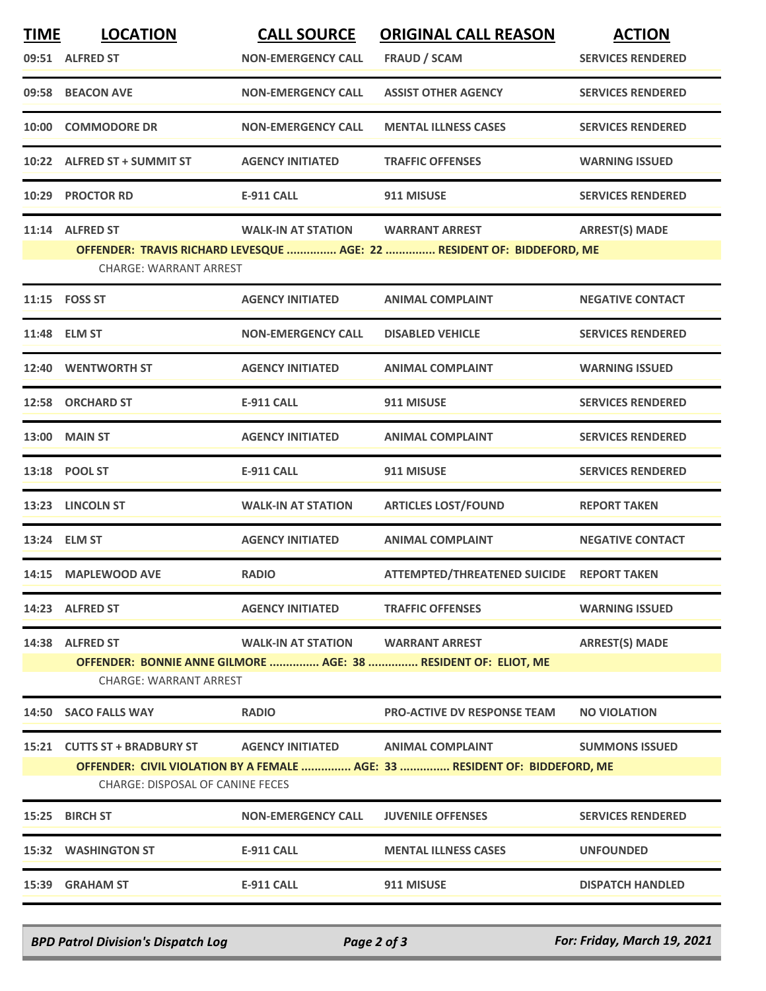| <b>LOCATION</b>                                                                                                       | <b>CALL SOURCE</b>                                                                                                                                                                                                                                                                                                                                                                                                                                                            | <b>ORIGINAL CALL REASON</b>               | <b>ACTION</b>            |  |  |  |  |
|-----------------------------------------------------------------------------------------------------------------------|-------------------------------------------------------------------------------------------------------------------------------------------------------------------------------------------------------------------------------------------------------------------------------------------------------------------------------------------------------------------------------------------------------------------------------------------------------------------------------|-------------------------------------------|--------------------------|--|--|--|--|
|                                                                                                                       | <b>NON-EMERGENCY CALL</b>                                                                                                                                                                                                                                                                                                                                                                                                                                                     | <b>FRAUD / SCAM</b>                       | <b>SERVICES RENDERED</b> |  |  |  |  |
|                                                                                                                       | <b>NON-EMERGENCY CALL</b>                                                                                                                                                                                                                                                                                                                                                                                                                                                     | <b>ASSIST OTHER AGENCY</b>                | <b>SERVICES RENDERED</b> |  |  |  |  |
|                                                                                                                       | <b>NON-EMERGENCY CALL</b>                                                                                                                                                                                                                                                                                                                                                                                                                                                     | <b>MENTAL ILLNESS CASES</b>               | <b>SERVICES RENDERED</b> |  |  |  |  |
|                                                                                                                       | <b>AGENCY INITIATED</b>                                                                                                                                                                                                                                                                                                                                                                                                                                                       | <b>TRAFFIC OFFENSES</b>                   | <b>WARNING ISSUED</b>    |  |  |  |  |
|                                                                                                                       | <b>E-911 CALL</b>                                                                                                                                                                                                                                                                                                                                                                                                                                                             | 911 MISUSE                                | <b>SERVICES RENDERED</b> |  |  |  |  |
|                                                                                                                       | <b>WALK-IN AT STATION</b>                                                                                                                                                                                                                                                                                                                                                                                                                                                     | <b>WARRANT ARREST</b>                     | <b>ARREST(S) MADE</b>    |  |  |  |  |
| OFFENDER: TRAVIS RICHARD LEVESQUE  AGE: 22  RESIDENT OF: BIDDEFORD, ME<br><b>CHARGE: WARRANT ARREST</b>               |                                                                                                                                                                                                                                                                                                                                                                                                                                                                               |                                           |                          |  |  |  |  |
|                                                                                                                       | <b>AGENCY INITIATED</b>                                                                                                                                                                                                                                                                                                                                                                                                                                                       | <b>ANIMAL COMPLAINT</b>                   | <b>NEGATIVE CONTACT</b>  |  |  |  |  |
|                                                                                                                       | <b>NON-EMERGENCY CALL</b>                                                                                                                                                                                                                                                                                                                                                                                                                                                     | <b>DISABLED VEHICLE</b>                   | <b>SERVICES RENDERED</b> |  |  |  |  |
|                                                                                                                       | <b>AGENCY INITIATED</b>                                                                                                                                                                                                                                                                                                                                                                                                                                                       | <b>ANIMAL COMPLAINT</b>                   | <b>WARNING ISSUED</b>    |  |  |  |  |
|                                                                                                                       | <b>E-911 CALL</b>                                                                                                                                                                                                                                                                                                                                                                                                                                                             | 911 MISUSE                                | <b>SERVICES RENDERED</b> |  |  |  |  |
|                                                                                                                       | <b>AGENCY INITIATED</b>                                                                                                                                                                                                                                                                                                                                                                                                                                                       | <b>ANIMAL COMPLAINT</b>                   | <b>SERVICES RENDERED</b> |  |  |  |  |
|                                                                                                                       | <b>E-911 CALL</b>                                                                                                                                                                                                                                                                                                                                                                                                                                                             | 911 MISUSE                                | <b>SERVICES RENDERED</b> |  |  |  |  |
|                                                                                                                       | <b>WALK-IN AT STATION</b>                                                                                                                                                                                                                                                                                                                                                                                                                                                     | <b>ARTICLES LOST/FOUND</b>                | <b>REPORT TAKEN</b>      |  |  |  |  |
|                                                                                                                       | <b>AGENCY INITIATED</b>                                                                                                                                                                                                                                                                                                                                                                                                                                                       | <b>ANIMAL COMPLAINT</b>                   | <b>NEGATIVE CONTACT</b>  |  |  |  |  |
|                                                                                                                       | <b>RADIO</b>                                                                                                                                                                                                                                                                                                                                                                                                                                                                  | ATTEMPTED/THREATENED SUICIDE REPORT TAKEN |                          |  |  |  |  |
|                                                                                                                       | <b>AGENCY INITIATED</b>                                                                                                                                                                                                                                                                                                                                                                                                                                                       | <b>TRAFFIC OFFENSES</b>                   | <b>WARNING ISSUED</b>    |  |  |  |  |
|                                                                                                                       | <b>WALK-IN AT STATION</b>                                                                                                                                                                                                                                                                                                                                                                                                                                                     | <b>WARRANT ARREST</b>                     | <b>ARREST(S) MADE</b>    |  |  |  |  |
| OFFENDER: BONNIE ANNE GILMORE  AGE: 38  RESIDENT OF: ELIOT, ME<br><b>CHARGE: WARRANT ARREST</b>                       |                                                                                                                                                                                                                                                                                                                                                                                                                                                                               |                                           |                          |  |  |  |  |
|                                                                                                                       | <b>RADIO</b>                                                                                                                                                                                                                                                                                                                                                                                                                                                                  | <b>PRO-ACTIVE DV RESPONSE TEAM</b>        | <b>NO VIOLATION</b>      |  |  |  |  |
|                                                                                                                       | <b>AGENCY INITIATED</b>                                                                                                                                                                                                                                                                                                                                                                                                                                                       | <b>ANIMAL COMPLAINT</b>                   | <b>SUMMONS ISSUED</b>    |  |  |  |  |
| OFFENDER: CIVIL VIOLATION BY A FEMALE  AGE: 33  RESIDENT OF: BIDDEFORD, ME<br><b>CHARGE: DISPOSAL OF CANINE FECES</b> |                                                                                                                                                                                                                                                                                                                                                                                                                                                                               |                                           |                          |  |  |  |  |
|                                                                                                                       | <b>NON-EMERGENCY CALL</b>                                                                                                                                                                                                                                                                                                                                                                                                                                                     | <b>JUVENILE OFFENSES</b>                  | <b>SERVICES RENDERED</b> |  |  |  |  |
|                                                                                                                       | <b>E-911 CALL</b>                                                                                                                                                                                                                                                                                                                                                                                                                                                             | <b>MENTAL ILLNESS CASES</b>               | <b>UNFOUNDED</b>         |  |  |  |  |
|                                                                                                                       | <b>E-911 CALL</b>                                                                                                                                                                                                                                                                                                                                                                                                                                                             | 911 MISUSE                                | <b>DISPATCH HANDLED</b>  |  |  |  |  |
|                                                                                                                       | 09:51 ALFRED ST<br>09:58 BEACON AVE<br>10:00 COMMODORE DR<br>10:22 ALFRED ST + SUMMIT ST<br>10:29 PROCTOR RD<br>11:14 ALFRED ST<br>11:15    FOSS ST<br>11:48 ELM ST<br>12:40 WENTWORTH ST<br>12:58 ORCHARD ST<br>13:00 MAIN ST<br>13:18 POOL ST<br><b>LINCOLN ST</b><br>13:24 ELM ST<br>14:15 MAPLEWOOD AVE<br>14:23 ALFRED ST<br>14:38 ALFRED ST<br>14:50 SACO FALLS WAY<br>15:21 CUTTS ST + BRADBURY ST<br><b>BIRCH ST</b><br><b>15:32 WASHINGTON ST</b><br>15:39 GRAHAM ST |                                           |                          |  |  |  |  |

*BPD Patrol Division's Dispatch Log Page 2 of 3 For: Friday, March 19, 2021*